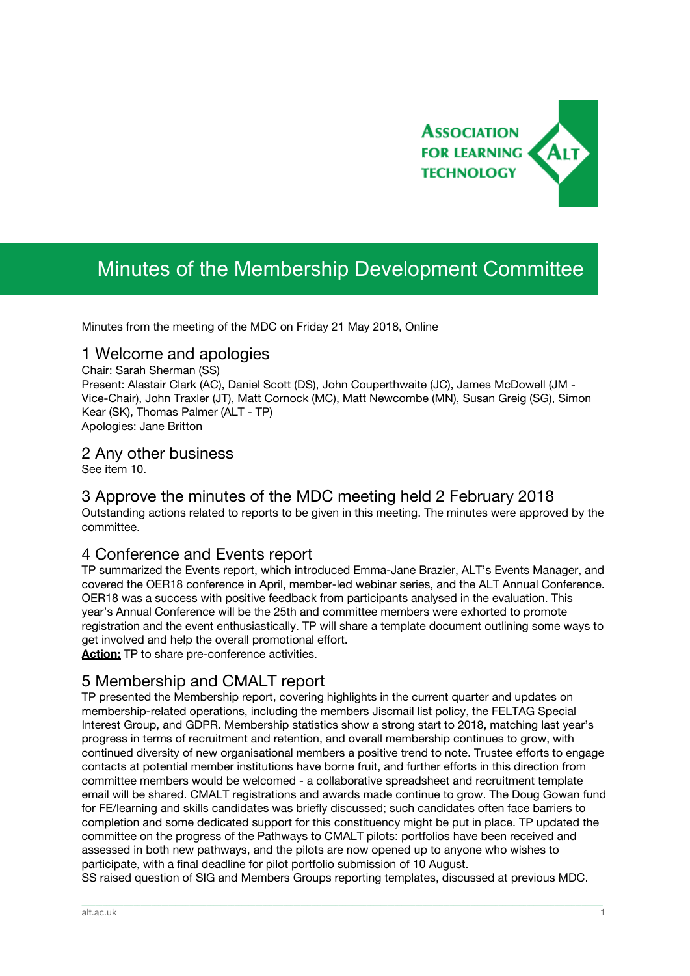

# Minutes of the Membership Development Committee

Minutes from the meeting of the MDC on Friday 21 May 2018, Online

### 1 Welcome and apologies

Chair: Sarah Sherman (SS) Present: Alastair Clark (AC), Daniel Scott (DS), John Couperthwaite (JC), James McDowell (JM - Vice-Chair), John Traxler (JT), Matt Cornock (MC), Matt Newcombe (MN), Susan Greig (SG), Simon Kear (SK), Thomas Palmer (ALT - TP) Apologies: Jane Britton

### 2 Any other business

See item 10.

## 3 Approve the minutes of the MDC meeting held 2 February 2018

Outstanding actions related to reports to be given in this meeting. The minutes were approved by the committee.

## 4 Conference and Events report

TP summarized the Events report, which introduced Emma-Jane Brazier, ALT's Events Manager, and covered the OER18 conference in April, member-led webinar series, and the ALT Annual Conference. OER18 was a success with positive feedback from participants analysed in the evaluation. This year's Annual Conference will be the 25th and committee members were exhorted to promote registration and the event enthusiastically. TP will share a template document outlining some ways to get involved and help the overall promotional effort.

**Action:** TP to share pre-conference activities.

## 5 Membership and CMALT report

TP presented the Membership report, covering highlights in the current quarter and updates on membership-related operations, including the members Jiscmail list policy, the FELTAG Special Interest Group, and GDPR. Membership statistics show a strong start to 2018, matching last year's progress in terms of recruitment and retention, and overall membership continues to grow, with continued diversity of new organisational members a positive trend to note. Trustee efforts to engage contacts at potential member institutions have borne fruit, and further efforts in this direction from committee members would be welcomed - a collaborative spreadsheet and recruitment template email will be shared. CMALT registrations and awards made continue to grow. The Doug Gowan fund for FE/learning and skills candidates was briefly discussed; such candidates often face barriers to completion and some dedicated support for this constituency might be put in place. TP updated the committee on the progress of the Pathways to CMALT pilots: portfolios have been received and assessed in both new pathways, and the pilots are now opened up to anyone who wishes to participate, with a final deadline for pilot portfolio submission of 10 August.

SS raised question of SIG and Members Groups reporting templates, discussed at previous MDC.

\_\_\_\_\_\_\_\_\_\_\_\_\_\_\_\_\_\_\_\_\_\_\_\_\_\_\_\_\_\_\_\_\_\_\_\_\_\_\_\_\_\_\_\_\_\_\_\_\_\_\_\_\_\_\_\_\_\_\_\_\_\_\_\_\_\_\_\_\_\_\_\_\_\_\_\_\_\_\_\_\_\_\_\_\_\_\_\_\_\_\_\_\_\_\_\_\_\_\_\_\_\_\_\_\_\_\_\_\_\_\_\_\_\_\_\_\_\_\_\_\_\_\_\_\_\_\_\_\_\_\_\_\_\_\_\_\_\_\_\_\_\_\_\_\_\_\_\_\_\_